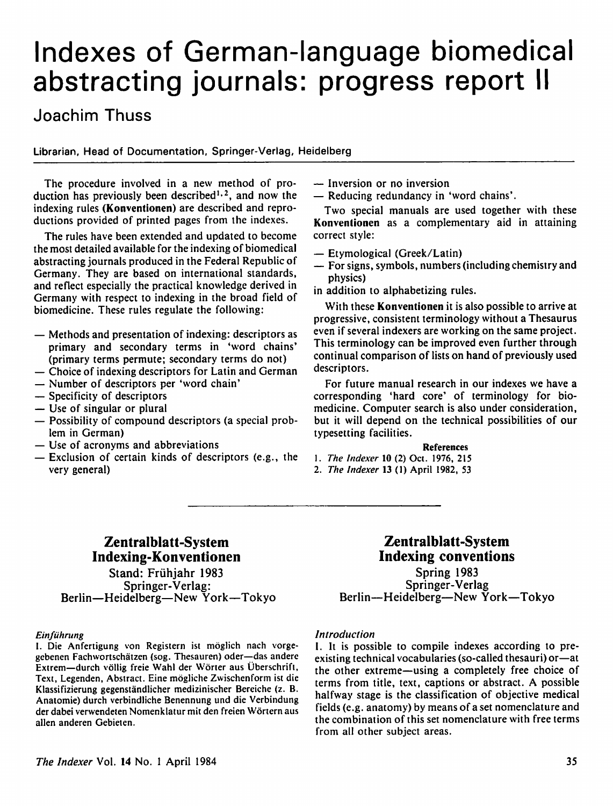# Indexes of German-language biomedical abstracting journals: progress report II

# Joachim Thuss

Librarian, Head of Documentation, Springer-Verlag, Heidelberg

The procedure involved in a new method of pro duction has previously been described1-2, and now the indexing rules (Konventionen) are described and repro ductions provided of printed pages from the indexes.

The rules have been extended and updated to become the most detailed available for the indexing of biomedical abstracting journals produced in the Federal Republic of Germany. They are based on international standards, and reflect especially the practical knowledge derived in Germany with respect to indexing in the broad field of biomedicine. These rules regulate the following:

- Methods and presentation of indexing: descriptors as primary and secondary terms in 'word chains' (primary terms permute; secondary terms do not)
- Choice of indexing descriptors for Latin and German
- Number of descriptors per 'word chain'
- Specificity of descriptors
- Use of singular or plural
- Possibility of compound descriptors (a special prob lem in German)
- Use of acronyms and abbreviations
- Exclusion of certain kinds of descriptors (e.g., the very general)
- Inversion or no inversion
- Reducing redundancy in 'word chains'.

Two special manuals are used together with these Konventionen as a complementary aid in attaining correct style:

- Etymological (Greek/Latin)
- For signs, symbols, numbers (including chemistry and physics)
- in addition to alphabetizing rules.

With these Konventionen it is also possible to arrive at progressive, consistent terminology without a Thesaurus even if several indexers are working on the same project. This terminology can be improved even further through continual comparison of lists on hand of previously used descriptors.

For future manual research in our indexes we have a corresponding 'hard core' of terminology for bio medicine. Computer search is also under consideration, but it will depend on the technical possibilities of our typesetting facilities.

#### References

1. The fndexer 10 (2) Oct. 1976, 215

2. The Indexer 13 (1) April 1982, 53

# Zentralblatt-System Indexing-Konventionen Stand: Frühjahr 1983 Springer-Verlag: Berlin—Heidelberg—New York—Tokyo

#### **Einführung**

I. Die Anfertigung von Registern ist moglich nach vorgegebenen Fachwortschatzen (sog. Thesauren) oder—das anderc Extrem—durch vollig freie Wahl der Worter aus Uberschrift, Text, Legenden, Abstract. Eine mogliche Zwischenform ist die Klassifizierung gegenstandlicher medizinischer Bereiche (z. B. Anatomie) durch verbindliche Benennung und die Verbindung der dabei verwendeten Nomenklatur mit den freien Wortern aus alien anderen Gebieten.

## Zentralblatt-System Indexing conventions

Spring 1983 Springer-Verlag Berlin—Heidelberg—New York—Tokyo

#### Introduction

I. It is possible to compile indexes according to pre existing technical vocabularies (so-called thesauri) or—at the other extreme—using a completely free choice of terms from title, text, captions or abstract. A possible halfway stage is the classification of objective medical fields (e.g. anatomy) by means of a set nomenclature and the combination of this set nomenclature with free terms from all other subject areas.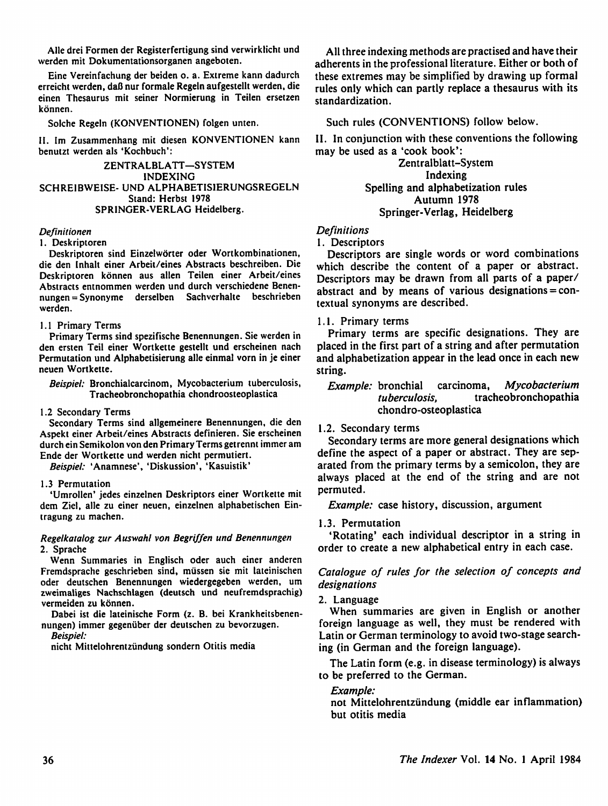Alle drei Formen der Registerfertigung sind verwirklicht und werden mit Dokumentationsorganen angeboten.

Eine Vereinfachung der beiden o. a. Extreme kann dadurch erreicht werden, dafl nur formale Regeln aufgestellt werden, die einen Thesaurus mit seiner Normierung in Teilen ersetzen können.

#### Solche Regeln (KONVENTIONEN) folgen unten.

II. Im Zusammenhang mit diesen KONVENTIONEN kann benutzt werden als 'Kochbuch':

ZENTRALBLATT-SYSTEM INDEXING SCHREIBWEISE- UND ALPHABETISIERUNGSREGELN Stand: Herbst 1978 SPRINGER-VERLAG Heidelberg.

#### Definitionen

#### 1. Deskriptoren

Deskriptoren sind Einzelworter oder Wortkombinationen, die den Inhalt einer Arbeit/eines Abstracts beschreiben. Die Deskriptoren konnen aus alien Teilen einer Arbeit/eines Abstracts entnommen werden und durch verschiedene Benennungen = Synonyme derselben Sachverhalte beschrieben werden.

#### 1.1 Primary Terms

Primary Terms sind spezifische Benennungen. Sie werden in den ersten Teil einer Wortkette gestellt und erscheinen nach Permutation und Alphabetisierung alle einmal vorn in je einer neuen Wortkette.

Beispiel: Bronchialcarcinom, Mycobacterium tuberculosis, Tracheobronchopathia chondroosteoplastica

#### 1.2 Secondary Terms

Secondary Terms sind allgemeinere Benennungen, die den Aspekt einer Arbeit/eines Abstracts definieren. Sie erscheinen durch ein Semikolon von den Primary Terms get rennt immer am Ende der Wortkette und werden nicht permutiert.

Beispiel: 'Anamnese', 'Diskussion', 'Kasuistik'

#### 1.3 Permutation

'Umrollen' jedes einzelnen Deskriptors einer Wortkette mit dem Ziel, alle zu einer neuen, einzelnen alphabetischen Eintragung zu machen.

#### Regelkatalog zur Auswahl von Begriffen und Benennungen 2. Sprache

Wenn Summaries in Englisch oder auch einer anderen Fremdsprache geschrieben sind, mussen sie mit lateinischen oder deutschen Benennungen wiedergegeben werden, um zweimaliges Nachschlagen (deutsch und neufremdsprachig) vermeiden zu können.

Dabei ist die lateinische Form (z. B. bei Krankheitsbenennungen) immer gegeniiber der deutschen zu bevorzugen.

Beispiel:

nicht Mittelohrentzündung sondern Otitis media

All three indexing methods are practised and have their adherents in the professional literature. Either or both of these extremes may be simplified by drawing up formal rules only which can partly replace a thesaurus with its standardization.

Such rules (CONVENTIONS) follow below.

II. In conjunction with these conventions the following may be used as a 'cook book':

> Zentralblatt-System Indexing Spelling and alphabetization rules Autumn 1978 Springer-Verlag, Heidelberg

#### Definitions

#### 1. Descriptors

Descriptors are single words or word combinations which describe the content of a paper or abstract. Descriptors may be drawn from all parts of a paper/ abstract and by means of various designations = con textual synonyms are described.

#### 1.1. Primary terms

Primary terms are specific designations. They are placed in the first part of a string and after permutation and alphabetization appear in the lead once in each new string.

#### Example: bronchial carcinoma, Mycobacterium tuberculosis, tracheobronchopathia chondro-osteoplastica

#### 1.2. Secondary terms

Secondary terms are more general designations which define the aspect of a paper or abstract. They are sep arated from the primary terms by a semicolon, they are always placed at the end of the string and are not permuted.

Example: case history, discussion, argument

### 1.3. Permutation

'Rotating' each individual descriptor in a string in order to create a new alphabetical entry in each case.

#### Catalogue of rules for the selection of concepts and designations

#### 2. Language

When summaries are given in English or another foreign language as well, they must be rendered with Latin or German terminology to avoid two-stage search ing (in German and the foreign language).

The Latin form (e.g. in disease terminology) is always to be preferred to the German.

#### Example:

not Mittelohrentzündung (middle ear inflammation) but otitis media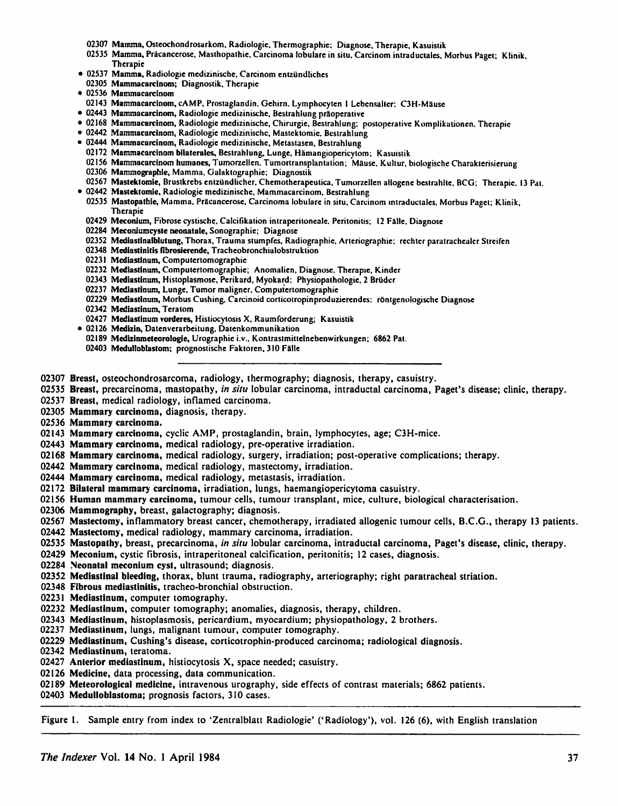- 02307 Mamma, Ostcochondrosarkom. Radiologie. Thermographie: Diagnose, Thcrapic, Kasuistik
- 02535 Mamma, Präcancerose, Masthopathie, Carcinoma lobulare in situ, Carcinom intraductales, Morbus Paget; Klinik, Thcrapic
- 02537 Mamma, Radiologie medizinische, Carcinom entzündliches
- 02305 Mammacarcinom; Diagnosiik. Thcrapie
- 02536 Mammacarcinom
- 02143 Mammacarcinom, cAMP, Prosiaglandin. Gchirn. Lymphocytcn 1 Lebensallcr: C3H-Mause
- 02443 Mammacarcinom, Radiologie medizinische, Bcslrahlung praoperative
- 02168 Mammacarcinom, Radiologie medizinische, Chirurgie, Bestrahlung; postoperative Komplikulionen. Thcrapic
- 02442 Mammacarcinom, Radiologie medizinischc, Masteklomie. Bcslrahlung
- 02444 Mammacarcinom, Radiologie medizinische, Metastasen, Bestrahlung
	- 02172 Mammacarcinom bilateralcs, Beslrahlung, Lunge, Hamangiopericytom; Kasuistik
	- 02156 Mammacarcinom humanes, Tumorzcllcn. Tumortransplanlation; Mause, Kultur, biologische Charakterisierung
	- 02306 Mammographie, Mamma, Galaktographie; Diagnostik
- 02567 Mastektomie, Brustkrebs entzündlicher, Chemotherapeutica, Tumorzellen allogene bestrahlte, BCG; Therapic. 13 Pat.
- 02442 Mastektomie, Radiologie medizinische. Mammacarcinom, Bestrahlung
	- 02535 Mastopathie, Mamma, Präcancerose, Carcinoma lobulare in situ, Carcinom intraductales, Morbus Paget; Klinik. Therapic
	- 02429 Meconium, Fibrose cysiischc, Calcifikation intraperitoneale. Peritonitis; 12 Faile. Diagnose
	- 02284 Meconiumcyste neonatale, Sonographie; Diagnose
	- 02352 Mediaslinalblutung, Thorax, Trauma stumpfes, Radiographic, Arieriographic: rechter paratrachealcr Streifen
	- 02348 Mediastinitis fibrosierende, Tracheobronchialobstruktion
	- 02231 Mediastinum, Compulertomographie
	- 02232 Mediastinum, Computertomographie; Anomalien, Diagnose. Therapic. Kinder
	- 02343 Mediastinum, Histoplasmose, Pcrikard, Myokard; Physiopalhologie, 2 Brudcr
	- 02237 Mediastinum, Lunge, Tumor maligncr. Computertomographie
	- 02229 Mediastinum, Morbus Cushing. Carcinoid corticotropinproduzierendes: röntgenologische Diagnose
	- 02342 Mediastinum, Tcratom
- 02427 Mediastinum vorderes, Hisliocytosis X, Raumforderung; Kasuistik
- 02126 Medizin, Datenverarbeitung, Datenkommunikalion
	- 02189 Medizinraeteorologie, Urographie i.v.. Kontrastmittelnebenwirkungen; 6862 Pat.
	- 02403 Medulloblastom; prognostische Faktorcn, 310 Falle

02307 Breast, osteochondrosarcoma, radiology, thermography; diagnosis, therapy, casuistry.

- 02535 Breast, precarcinoma, mastopathy, in situ lobular carcinoma, intraductal carcinoma, Paget's disease; clinic, therapy.
- 02537 Breast, medical radiology, inflamed carcinoma.
- 02305 Mammary carcinoma, diagnosis, therapy.
- 02536 Mammary carcinoma.
- 02143 Mammary carcinoma, cyclic AMP, prostaglandin, brain, lymphocytes, age; C3H-mice.
- 02443 Mammary carcinoma, medical radiology, pre-operative irradiation.
- 02168 Mammary carcinoma, medical radiology, surgery, irradiation; post-operative complications; therapy.
- 02442 Mammary carcinoma, medical radiology, mastectomy, irradiation.
- 02444 Mammary carcinoma, medical radiology, metastasis, irradiation.
- 02172 Bilateral mammary carcinoma, irradiation, lungs, haemangiopericytoma casuistry.
- 02156 Human mammary carcinoma, tumour cells, tumour transplant, mice, culture, biological characterisation.
- 02306 Mammography, breast, galactography; diagnosis.
- 02567 Mastectomy, inflammatory breast cancer, chemotherapy, irradiated allogenic tumour cells, B.C.G., therapy 13 patients.
- 02442 Mastectomy, medical radiology, mammary carcinoma, irradiation.
- 02535 Mastopathy, breast, precarcinoma, in situ lobular carcinoma, intraductal carcinoma, Paget's disease, clinic, therapy.
- 02429 Meconium, cystic fibrosis, intraperitoneal calcification, peritonitis; 12 cases, diagnosis.
- 02284 Neonatal meconium cyst, ultrasound; diagnosis.
- 02352 Mediastinal bleeding, thorax, blunt trauma, radiography, arteriography; right paratracheal striation.
- 02348 Fibrous mediastinitis, tracheo-bronchial obstruction.
- 02231 Mediastinum, computer tomography.
- 02232 Mediastinum, computer tomography; anomalies, diagnosis, therapy, children.
- 02343 Mediastinum, histoplasmosis, pericardium, myocardium; physiopathology, 2 brothers.
- 02237 Mediastinum, lungs, malignant tumour, computer tomography.
- 02229 Mediastinum, Cushing's disease, corticotrophin-produced carcinoma; radiological diagnosis.
- 02342 Mediastinum, teratoma.
- 02427 Anterior mediastinum, histiocytosis X, space needed; casuistry.
- 02126 Medicine, data processing, data communication.
- 02189 Meteorological medicine, intravenous urography, side effects of contrast materials; 6862 patients.
- 02403 Medulloblastoma; prognosis factors, 310 cases.

Figure 1. Sample entry from index to 'Zentralblatt Radiologie' ('Radiology'), vol. 126 (6), with English translation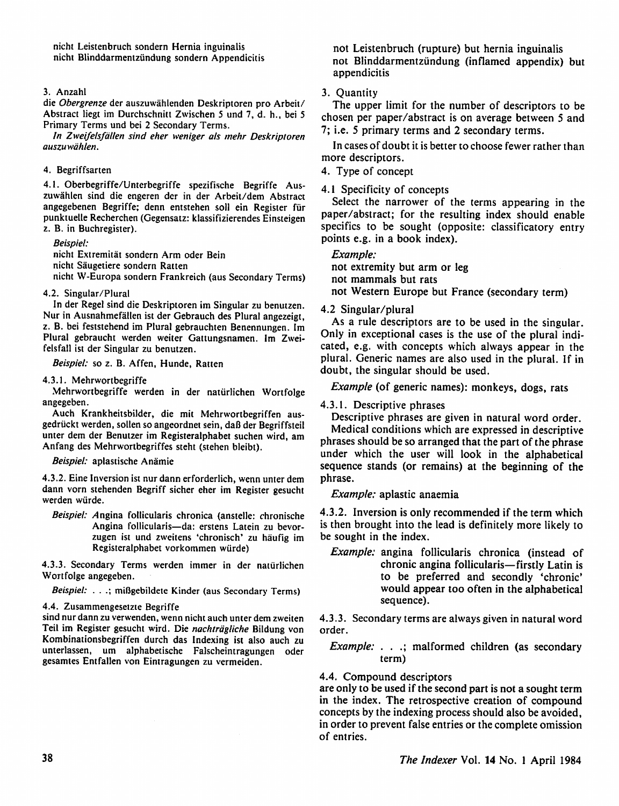#### 3. Anzahl

die Obergrenze der auszuwahlenden Deskriptoren pro Arbeit/ Abstract liegt im Durchschnitt Zwischen 5 und 7, d. h., bei 5 Primary Terms und bei 2 Secondary Terms.

In Zweifelsfdllen sind eher weniger als mehr Deskriptoren auszuwahlen.

#### 4. Begriffsarten

4.1. Oberbegriffe/Unterbegriffe spezifische Begriffe Aus zuwahlen sind die engeren der in der Arbeit/dem Abstract angegebenen Begriffe; denn entstehen soil ein Register fur punktuelle Recherchen (Gegensatz: klassifizierendes Einsteigen z. B. in Buchregister).

Beispiel:

nicht Extremitat sondern Arm oder Bein nicht Saugetiere sondern Ratten nicht W-Europa sondern Frankreich (aus Secondary Terms)

4.2. Singular/Plural

In der Regel sind die Deskriptoren im Singular zu benutzen. Nur in Ausnahmefallen ist der Gebrauch des Plural angezeigt, z. B. bei feststehend im Plural gebrauchten Benennungen. Im Plural gebraucht werden weiter Gattungsnamen. Im Zweifelsfall ist der Singular zu benutzen.

Beispiel: so z. B. Affen, Hunde, Ratten

#### 4.3.1. Mehrwortbegriffe

Mehrwortbegriffe werden in der naturlichen Wortfolge angegeben.

Auch Krankheitsbilder, die mit Mehrwortbegriffen ausgedruckt werden, sollen so angeordnet sein, daB der Begriffsteil unter dem der Benutzer im Registeralphabet suchen wird, am Anfang des Mehrwortbegriffes steht (stehen bleibt).

Beispiel: aplastische Anämie

4.3.2. Eine Inversion ist nur dann erforderlich, wenn unter dem dann vorn stehenden Begriff sicher eher im Register gesucht werden wiirde.

Beispiel: Angina follicularis chronica (anstelle: chronische Angina follicularis—da: erstens Latein zu bevorzugen ist und zweitens 'chronisch' zu haufig im Registeralphabet vorkommen wiirde)

4.3.3. Secondary Terms werden immer in der naturlichen Wortfolge angegeben.

Beispiel: . . .; miBgebildete Kinder (aus Secondary Terms)

4.4. Zusammengesetzie Begriffe

sind nur dann zu verwenden, wenn nicht auch unter dem zweiten Teil im Register gesucht wird. Die nachträgliche Bildung von Kombinationsbegriffen durch das Indexing ist also auch zu unterlassen, um alphabetische Falscheintragungen oder gesamtes Entfallen von Eintragungen zu vermeiden.

not Leistenbruch (rupture) but hernia inguinalis not Blinddarmentziindung (inflamed appendix) but appendicitis

#### 3. Quantity

The upper limit for the number of descriptors to be chosen per paper/abstract is on average between 5 and 7; i.e. 5 primary terms and 2 secondary terms.

In cases of doubt it is better to choose fewer rather than more descriptors.

4. Type of concept

#### 4.1 Specificity of concepts

Select the narrower of the terms appearing in the paper/abstract; for the resulting index should enable specifics to be sought (opposite: classificatory entry points e.g. in a book index).

#### Example:

not extremity but arm or leg not mammals but rats not Western Europe but France (secondary term)

#### 4.2 Singular/plural

As a rule descriptors are to be used in the singular. Only in exceptional cases is the use of the plural indi cated, e.g. with concepts which always appear in the plural. Generic names are also used in the plural. If in doubt, the singular should be used.

Example (of generic names): monkeys, dogs, rats

#### 4.3.1. Descriptive phrases

Descriptive phrases are given in natural word order.

Medical conditions which are expressed in descriptive phrases should be so arranged that the part of the phrase under which the user will look in the alphabetical sequence stands (or remains) at the beginning of the phrase.

Example: aplastic anaemia

4.3.2. Inversion is only recommended if the term which is then brought into the lead is definitely more likely to be sought in the index.

Example: angina follicularis chronica (instead of chronic angina follicularis—firstly Latin is to be preferred and secondly 'chronic' would appear too often in the alphabetical sequence).

4.3.3. Secondary terms are always given in natural word order.

Example: . . .; malformed children (as secondary term)

### 4.4. Compound descriptors

are only to be used if the second part is not a sought term in the index. The retrospective creation of compound concepts by the indexing process should also be avoided, in order to prevent false entries or the complete omission of entries.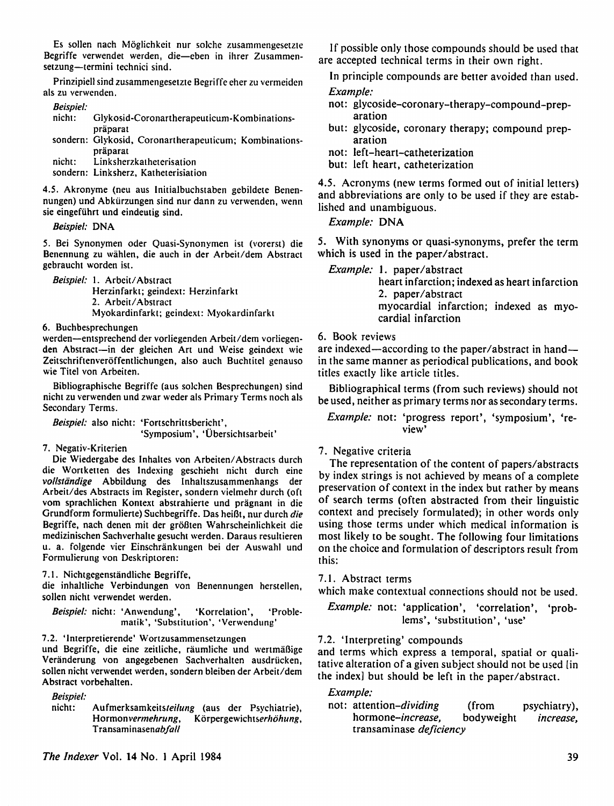Es sollen nach Moglichkeit nur solche zusammengesetzte Begriffe verwendet werden, die—eben in ihrer Zusammensetzung—termini technici sind.

Prinzipiell sind zusammengesetzte Begriffe eher zu vermeiden als zu verwenden.

#### Beispiel:

| nicht: | Glykosid-Coronartherapeuticum-Kombinations-            |
|--------|--------------------------------------------------------|
|        | präparat                                               |
|        | sondern: Glykosid, Coronartherapeuticum; Kombinations- |
|        | präparat                                               |
| nicht: | Linksherzkatheterisation                               |
|        | sondern: Linksherz, Katheterisiation                   |

4.5. Akronyme (neu aus Initialbuchstaben gebildete Benennungen) und Abkiirzungen sind nur dann zu verwenden, wenn sie eingefiihrt und eindeutig sind.

Beispiel: DNA

5. Bei Synonymen oder Quasi-Synonymen ist (vorerst) die Benennung zu wahlen, die auch in der Arbeit/dem Abstract gebraucht worden ist.

Beispiel: 1. Arbeit/Abstract Herzinfarkt; geindext: Herzinfarkt 2. Arbeit/Abstract Myokardinfarkt; geindext: Myokardinfarkt

6. Buchbesprechungen

werden—entsprechend der vorliegenden Arbeit/dem vorliegenden Abstract—in der gleichen Art und Weise geindext wie Zeitschriftenveröffentlichungen, also auch Buchtitel genauso wie Titel von Arbeiten.

Bibliographische Begriffe (aus solchen Besprechungen) sind nicht zu verwenden und zwar weder als Primary Terms noch als Secondary Terms.

Beispiel: also nicht: 'Fortschrittsbericht',

'Symposium', 'Ubersichtsarbeit'

7. Negativ-Kriterien

Die Wiedergabe des Inhaltes von Arbeiten/Abstracts durch die Wortketten des Indexing geschieht nicht durch eine vollstandige Abbildung des Inhaltszusammenhangs der Arbeit/des Abstracts im Register, sondern vielmehr durch (oft vom sprachlichen Kontext abstrahierte und pragnant in die Grundform formulierte) Suchbegriffe. Das heifit, nur durch die Begriffe, nach denen mit der grofiten Wahrscheinlichkeit die medizinischen Sachverhalte gesucht werden. Daraus resultieren u. a. folgende vier Einschränkungen bei der Auswahl und Formulierung von Deskriptoren:

7.1. Nichtgegenstandliche Begriffe,

die inhaltliche Verbindungen von Benennungen herstellen, sollen nicht verwendet werden.

Beispiel: nicht: 'Anwendung', 'Korrelation', 'Problematik', 'Substitution', 'Verwendung'

7.2. 'lnterpretierende' Wortzusammensetzungen

und Begriffe, die eine zeitliche, raumliche und wertmaflige Veranderung von angegebenen Sachverhalten ausdriicken, sollen nicht verwendet werden, sondern bleiben der Arbeit/dem Abstract vorbehalten.

Beispiel:

nicht: Aufmerksamkeitsteilung (aus der Psychiatrie), Hormonvermehrung, Körpergewichtserhöhung, Transaminasenabfall

If possible only those compounds should be used that are accepted technical terms in their own right.

In principle compounds are better avoided than used.

#### Example:

- not: glycoside-coronary-therapy-compound-preparation
- but: glycoside, coronary therapy; compound prep aration
- not: left-heart-catheterization

but: left heart, catheterization

4.5. Acronyms (new terms formed out of initial letters) and abbreviations are only to be used if they are estab lished and unambiguous.

Example: DNA

5. With synonyms or quasi-synonyms, prefer the term which is used in the paper/abstract.

Example: 1. paper/abstract heart infarction; indexed as heart infarction 2. paper/abstract myocardial infarction; indexed as myocardial infarction

#### 6. Book reviews

are indexed—according to the paper/abstract in handin the same manner as periodical publications, and book titles exactly like article titles.

Bibliographical terms (from such reviews) should not be used, neither as primary terms nor as secondary terms.

#### Example: not: 'progress report', 'symposium', 're view'

7. Negative criteria

The representation of the content of papers/abstracts by index strings is not achieved by means of a complete preservation of context in the index but rather by means of search terms (often abstracted from their linguistic context and precisely formulated); in other words only using those terms under which medical information is most likely to be sought. The following four limitations on the choice and formulation of descriptors result from this:

#### 7.1. Abstract terms

which make contextual connections should not be used.

Example: not: 'application', 'correlation', 'problems', 'substitution', 'use'

7.2. 'Interpreting' compounds

and terms which express a temporal, spatial or quali tative alteration of a given subject should not be used [in the index] but should be left in the paper/abstract.

#### Example:

not: attention-dividing (from psychiatry), hormone-increase, bodyweight increase, transaminase deficiency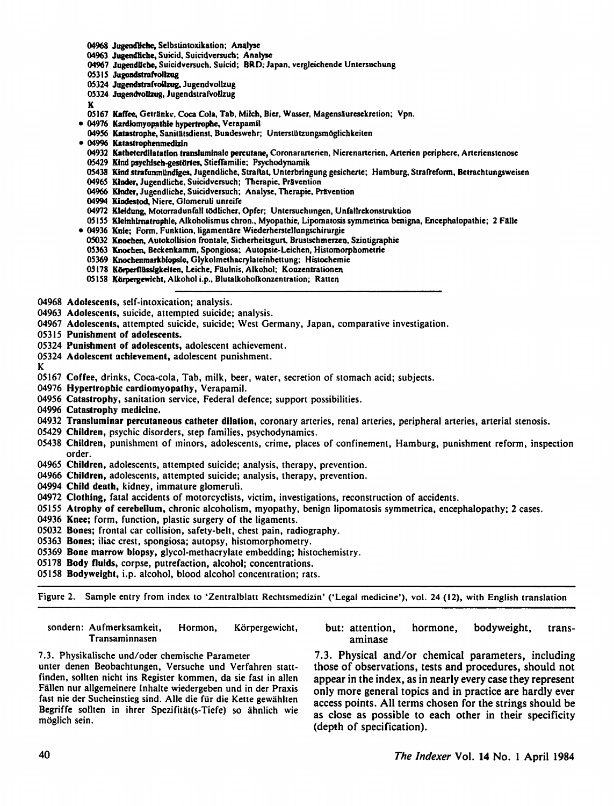- 04968 JugendBche, Selbstintoxikation; Analyse
- 04963 Jugendliche, Suicid. Suicidversuch; Analyse
- 04967 Jugendliche, Suicidversuch. Suicid; BRD; Japan, vergleichende Untersuchung
- 05315 Jugendstrafvollzug
- 05324 Jugendstrafvollzug, Jugendvollzug
- 05324 Jugendvollzug, Jugendstrafvollzug
- K
- 05167 Kaffee, Getränke, Coca Cola, Tab, Milch, Bier, Wasser, Magensäuresekretion; Vpn.
- 04976 Kardtomyopalhie hypertrophc, Verapamil
- 04956 Katastrophe, Sanitätsdienst, Bundeswehr; Unterstützungsmöglichkeiten
- 04996 Katastrophenmedizin
	- 04932 Katheterdilatation transluminale percutane, Coronararterien, Nierenarterien, Arterien pcriphere, Arterienstenose
- 05429 Kind psychisch-gestörtes, Stieffamilie; Psychodynamik
- 05438 Kind strafunmundiges, Jugendliche, Straftat, Unterbringung gesicherle; Hamburg, Strafreform, Bclrachtungsweisen
- 04965 Kinder, Jugendliche, Suicidversuch; Thcrapie, Pravention
- 04966 Kinder, Jugendliche, Suicidversuch; Analyse, Therapie, Prävention
- 04994 Kindestod, Niere, Glomeruli unreife
- 04972 Kleidung, Motorradunfall tödlicher, Opfer; Untersuchungen, Unfallrekonstruktion
- 05155 Klehthlmatrophle, Alkoholismus chron., Myopathie, Lipomaiosis symmetrica benigna, Encephaiopathie; 2 Falle
- 04936 Knic; Form, Funktion, ligamentare Wiederherstellungschirurgie
- 05032 Knochen, Auiokollision frontale, Sicherheitsgun. Brustschmerzeo. Szintigraphie
- 05363 Knochen, Bcckenkamm, Spongiosa; Autopsie-Leichen, Histomorpbomctric
- 05369 Knochenmarkbiopsie, Glykolmethacrylatembettung; Histochernic
- 03178 Körperflüssigkeiten, Leiche, Fäulnis, Alkohol; Konzentrationen.
- 05158 Körpergewicht, Alkohol i.p., Blutalkoholkonzentration; Ratten

04968 Adolescents, self-intoxication; analysis.

- 04963 Adolescents, suicide, attempted suicide; analysis.
- 04967 Adolescents, attempted suicide, suicide; West Germany, Japan, comparative investigation.

OS315 Punishment of adolescents.

- 05324 Punishment of adolescents, adolescent achievement.
- 05324 Adolescent achievement, adolescent punishment.

K

- 05167 Coffee, drinks, Coca-cola, Tab, milk, beer, water, secretion of stomach acid; subjects.
- 04976 Hypertrophic cardiomyopathy, Verapamil.
- 04956 Catastrophy, sanitation service, Federal defence; support possibilities.

04996 Catastrophy medicine.

- 04932 Transluminar percutaneous catheter dilation, coronary arteries, renal arteries, peripheral arteries, arterial stenosis.
- 0S429 Children, psychic disorders, step families, psychodynamics.
- 05438 Children, punishment of minors, adolescents, crime, places of confinement, Hamburg, punishment reform, inspection order.
- 04965 Children, adolescents, attempted suicide; analysis, therapy, prevention.
- 04966 Children, adolescents, attempted suicide; analysis, therapy, prevention.
- 04994 Child death, kidney, immature glomeruli.
- 04972 Clothing, fatal accidents of motorcyclists, victim, investigations, reconstruction of accidents.
- 05155 Atrophy of cerebellum, chronic alcoholism, myopathy, benign lipomatosis symmetrica, encephalopathy; 2 cases.
- 04936 Knee; form, function, plastic surgery of the ligaments.
- 05032 Bones; frontal car collision, safety-belt, chest pain, radiography.
- 05363 Bones; iliac crest, spongiosa; autopsy, histomorphometry.
- 05369 Bone marrow biopsy, glycol-methacrylate embedding; histochemistry.
- 05178 Body fluids, corpse, putrefaction, alcohol; concentrations.
- 05158 Bodyweight, i.p. alcohol, blood alcohol concentration; rats.

Figure 2. Sample entry from index to 'Zentralblatt Rechtsmedizin' ('Legal medicine'), vol. 24 (12), with English translation

sondern: Aufmerksamkeit, Hormon, Körpergewicht, but: attention, hormone, bodyweight, trans-Transaminnasen aminase

finden, sollten nicht ins Register kommen, da sie fast in allen appear in the index, as in nearly every case they represent Fallen nur allgemeinere Inhalte wiedergeben und in der Praxis oniy more general topics and in practice are hardly ever fast nie der Sucheinstieg sind. Alle die für die Kette gewählten access points. All terms chosen for the strings should be

7.3. Physikalische und/oder chemische Parameter 7.3. Physical and/or chemical parameters, including unter denen Beobachtungen, Versuche und Verfahren statt- those of observations, tests and procedures, should not Begriffe sollten in ihrer Spezifitat(s-Tiefe) so ahnlich wie<br>as close as possible to each other in their specificity<br>(depth of specification).